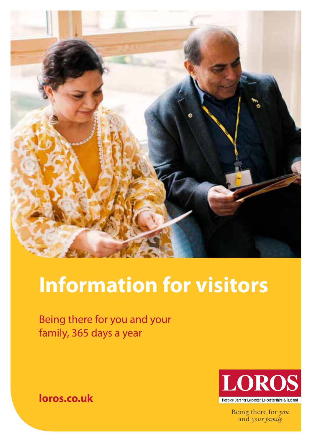

# **Information for visitors**

Being there for you and your family, 365 days a year



Being there for you and your family

**loros.co.uk**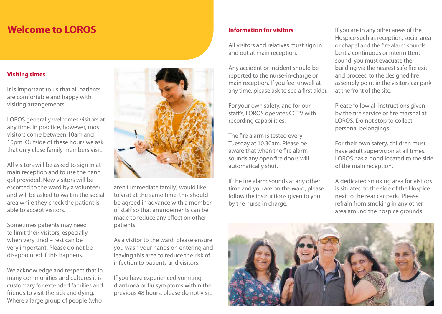## **Welcome to LOROS Information for visitors**

#### **Visiting times**

It is important to us that all patients are comfortable and happy with visiting arrangements.

LOROS generally welcomes visitors at any time. In practice, however, most visitors come between 10am and 10pm. Outside of these hours we ask that only close family members visit.

All visitors will be asked to sign in at main reception and to use the hand gel provided. New visitors will be escorted to the ward by a volunteer and will be asked to wait in the social area while they check the patient is able to accept visitors.

Sometimes patients may need to limit their visitors, especially when very tired – rest can be very important. Please do not be disappointed if this happens.

We acknowledge and respect that in many communities and cultures it is customary for extended families and friends to visit the sick and dying. Where a large group of people (who



aren't immediate family) would like to visit at the same time, this should be agreed in advance with a member of staff so that arrangements can be made to reduce any effect on other patients.

As a visitor to the ward, please ensure you wash your hands on entering and leaving this area to reduce the risk of infection to patients and visitors.

If you have experienced vomiting, diarrhoea or flu symptoms within the previous 48 hours, please do not visit.

All visitors and relatives must sign in and out at main reception.

Any accident or incident should be reported to the nurse-in-charge or main reception. If you feel unwell at any time, please ask to see a first aider.

For your own safety, and for our staff's, LOROS operates CCTV with recording capabilities.

The fire alarm is tested every Tuesday at 10.30am. Please be aware that when the fire alarm sounds any open fire doors will automatically shut.

If the fire alarm sounds at any other time and you are on the ward, please follow the instructions given to you by the nurse in charge.

If you are in any other areas of the Hospice such as reception, social area or chapel and the fire alarm sounds be it a continuous or intermittent sound, you must evacuate the building via the nearest safe fire exit and proceed to the designed fire assembly point in the visitors car park at the front of the site.

Please follow all instructions given by the fire service or fire marshal at LOROS. Do not stop to collect personal belongings.

For their own safety, children must have adult supervision at all times. LOROS has a pond located to the side of the main reception.

A dedicated smoking area for visitors is situated to the side of the Hospice next to the rear car park. Please refrain from smoking in any other area around the hospice grounds.

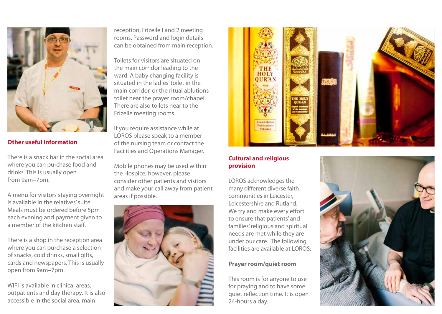

#### **Other useful information**

There is a snack bar in the social area where you can purchase food and drinks. This is usually open from 9am–7pm.

A menu for visitors staying overnight is available in the relatives' suite. Meals must be ordered before 5pm each evening and payment given to a member of the kitchen staff.

There is a shop in the reception area where you can purchase a selection of snacks, cold drinks, small gifts, cards and newspapers. This is usually open from 9am–7pm.

WIFI is available in clinical areas. outpatients and day therapy. It is also accessible in the social area, main

reception, Frizelle I and 2 meeting rooms. Password and login details can be obtained from main reception.

Toilets for visitors are situated on the main corridor leading to the ward. A baby changing facility is situated in the ladies' toilet in the main corridor, or the ritual ablutions toilet near the prayer room/chapel. There are also toilets near to the Frizelle meeting rooms.

If you require assistance while at LOROS please speak to a member of the nursing team or contact the Facilities and Operations Manager.

Mobile phones may be used within the Hospice; however, please consider other patients and visitors and make your call away from patient areas if possible.





#### **Cultural and religious provision**

LOROS acknowledges the many different diverse faith communities in Leicester, Leicestershire and Rutland. We try and make every effort to ensure that patients' and families' religious and spiritual needs are met while they are under our care. The following facilities are available at LOROS $\cdot$ 

#### **Prayer room/quiet room**

This room is for anyone to use for praying and to have some quiet reflection time. It is open 24-hours a day.

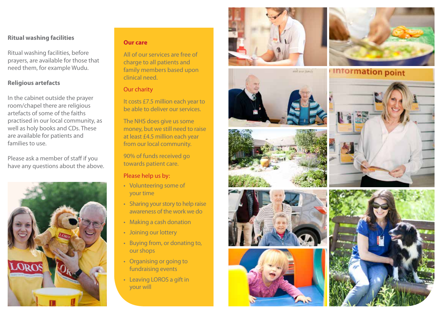#### **Ritual washing facilities**

Ritual washing facilities, before prayers, are available for those that need them, for example Wudu.

#### **Religious artefacts**

In the cabinet outside the prayer room/chapel there are religious artefacts of some of the faiths practised in our local community, as well as holy books and CDs. These are available for patients and families to use.

Please ask a member of staff if you have any questions about the above.



#### **Our care**

All of our services are free of charge to all patients and family members based upon clinical need.

#### Our charity

It costs £7.5 million each year to be able to deliver our services.

The NHS does give us some money, but we still need to raise at least £4.5 million each year from our local community.

90% of funds received go towards patient care.

#### Please help us by:

- Volunteering some of your time
- Sharing your story to help raise awareness of the work we do
- Making a cash donation
- Joining our lottery
- Buying from, or donating to, our shops
- Organising or going to fundraising events
- Leaving LOROS a gift in your will













**Information point**